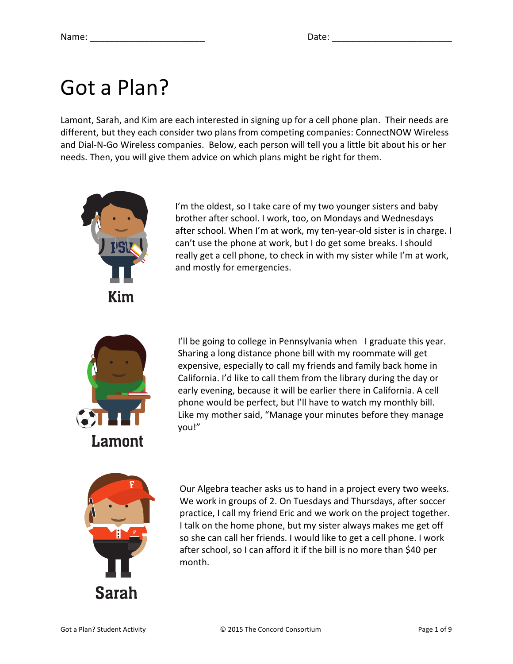### Got a Plan?

Lamont, Sarah, and Kim are each interested in signing up for a cell phone plan. Their needs are different, but they each consider two plans from competing companies: ConnectNOW Wireless and Dial-N-Go Wireless companies. Below, each person will tell you a little bit about his or her needs. Then, you will give them advice on which plans might be right for them.



I'm the oldest, so I take care of my two younger sisters and baby brother after school. I work, too, on Mondays and Wednesdays after school. When I'm at work, my ten-year-old sister is in charge. I can't use the phone at work, but I do get some breaks. I should really get a cell phone, to check in with my sister while I'm at work, and mostly for emergencies.



I'll be going to college in Pennsylvania when I graduate this year. Sharing a long distance phone bill with my roommate will get expensive, especially to call my friends and family back home in California. I'd like to call them from the library during the day or early evening, because it will be earlier there in California. A cell phone would be perfect, but I'll have to watch my monthly bill. Like my mother said, "Manage your minutes before they manage you!"



Our Algebra teacher asks us to hand in a project every two weeks. We work in groups of 2. On Tuesdays and Thursdays, after soccer practice, I call my friend Eric and we work on the project together. I talk on the home phone, but my sister always makes me get off so she can call her friends. I would like to get a cell phone. I work after school, so I can afford it if the bill is no more than \$40 per month.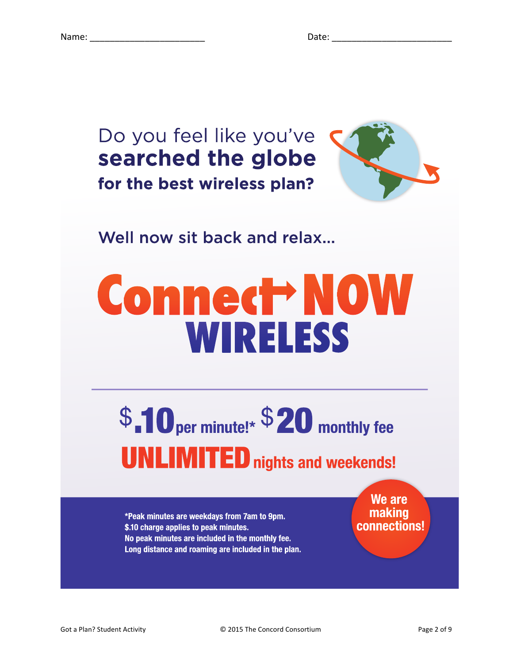



### Well now sit back and relax...

# **Connect NOW WIRELESS**

## \$.10 per minute!\* \$20 monthly fee **UNLIMITED** nights and weekends!

\*Peak minutes are weekdays from 7am to 9pm. \$.10 charge applies to peak minutes. No peak minutes are included in the monthly fee. Long distance and roaming are included in the plan.

We are making connections!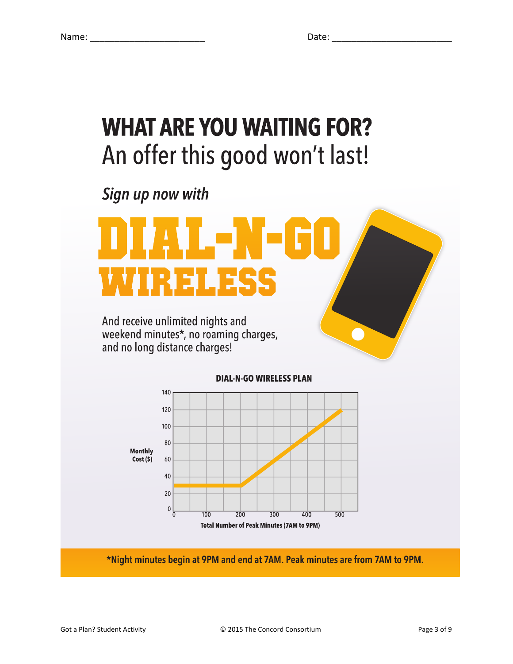### **WHAT ARE YOU WAITING FOR?** An offer this good won't last!

Sign up now with





\*Night minutes begin at 9PM and end at 7AM. Peak minutes are from 7AM to 9PM.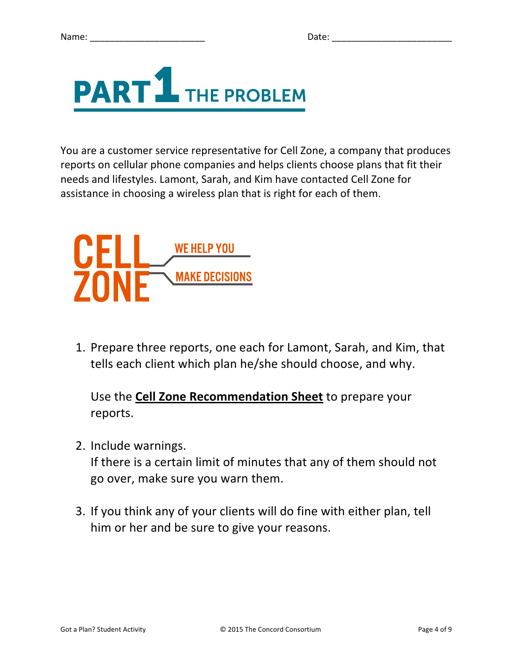

You are a customer service representative for Cell Zone, a company that produces reports on cellular phone companies and helps clients choose plans that fit their needs and lifestyles. Lamont, Sarah, and Kim have contacted Cell Zone for assistance in choosing a wireless plan that is right for each of them.



1. Prepare three reports, one each for Lamont, Sarah, and Kim, that tells each client which plan he/she should choose, and why.

Use the **Cell Zone Recommendation Sheet** to prepare your reports.

2. Include warnings.

If there is a certain limit of minutes that any of them should not go over, make sure you warn them.

3. If you think any of your clients will do fine with either plan, tell him or her and be sure to give your reasons.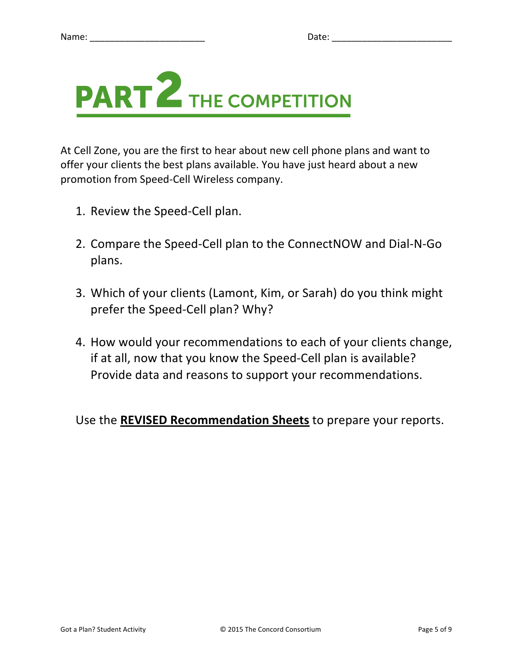

At Cell Zone, you are the first to hear about new cell phone plans and want to offer your clients the best plans available. You have just heard about a new promotion from Speed-Cell Wireless company.

- 1. Review the Speed-Cell plan.
- 2. Compare the Speed-Cell plan to the ConnectNOW and Dial-N-Go plans.
- 3. Which of your clients (Lamont, Kim, or Sarah) do you think might prefer the Speed-Cell plan? Why?
- 4. How would your recommendations to each of your clients change, if at all, now that you know the Speed-Cell plan is available? Provide data and reasons to support your recommendations.

Use the **REVISED Recommendation Sheets** to prepare your reports.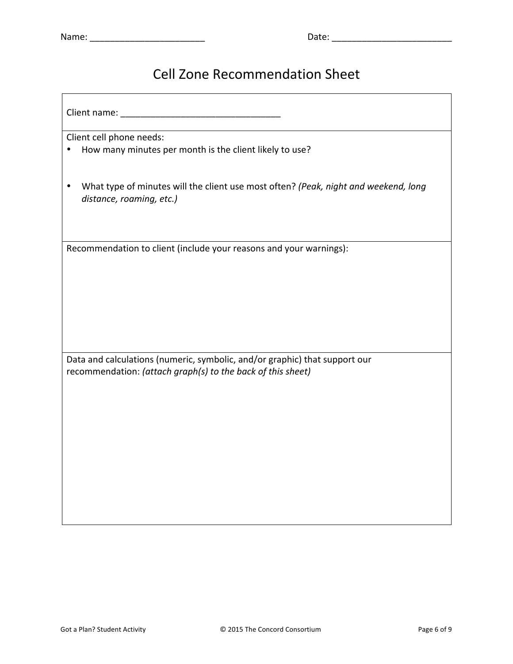#### Cell Zone Recommendation Sheet

Client name: \_\_\_\_\_\_\_\_\_\_\_\_\_\_\_\_\_\_\_\_\_\_\_\_\_\_\_\_\_\_\_\_

Client cell phone needs:

- How many minutes per month is the client likely to use?
- What type of minutes will the client use most often? (Peak, night and weekend, long *distance, roaming, etc.)*

Recommendation to client (include your reasons and your warnings):

Data and calculations (numeric, symbolic, and/or graphic) that support our recommendation: (attach graph(s) to the back of this sheet)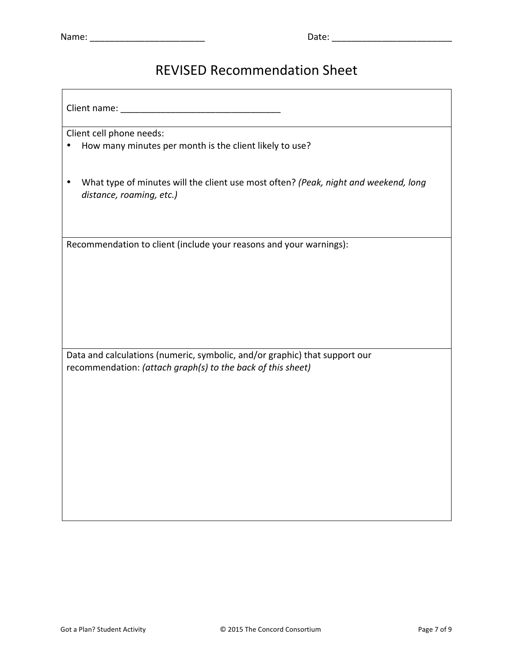#### REVISED Recommendation Sheet

Client name: \_\_\_\_\_\_\_\_\_\_\_\_\_\_\_\_\_\_\_\_\_\_\_\_\_\_\_\_\_\_\_\_

Client cell phone needs:

• How many minutes per month is the client likely to use?

• What type of minutes will the client use most often? (Peak, night and weekend, long *distance, roaming, etc.)*

Recommendation to client (include your reasons and your warnings):

Data and calculations (numeric, symbolic, and/or graphic) that support our recommendation: (attach graph(s) to the back of this sheet)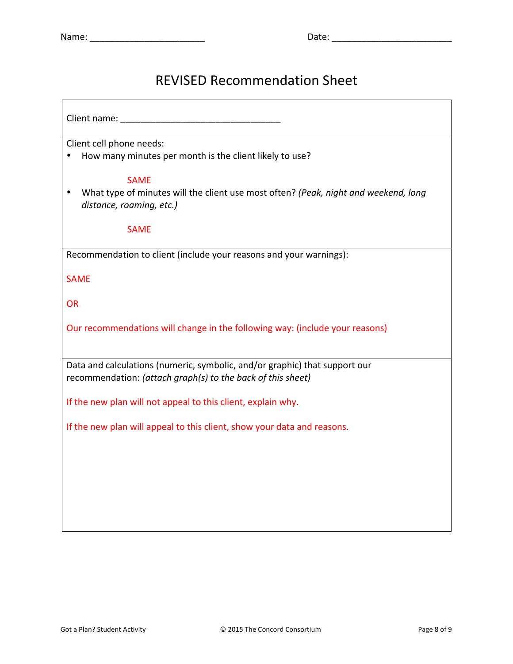#### REVISED Recommendation Sheet

Client name: \_\_\_\_\_\_\_\_\_\_\_\_\_\_\_\_\_\_\_\_\_\_\_\_\_\_\_\_\_\_\_\_ Client cell phone needs: • How many minutes per month is the client likely to use? SAME • What type of minutes will the client use most often? (Peak, night and weekend, long distance, roaming, etc.) SAME Recommendation to client (include your reasons and your warnings): SAME **OR** Our recommendations will change in the following way: (include your reasons) Data and calculations (numeric, symbolic, and/or graphic) that support our recommendation: (attach graph(s) to the back of this sheet) If the new plan will not appeal to this client, explain why. If the new plan will appeal to this client, show your data and reasons.